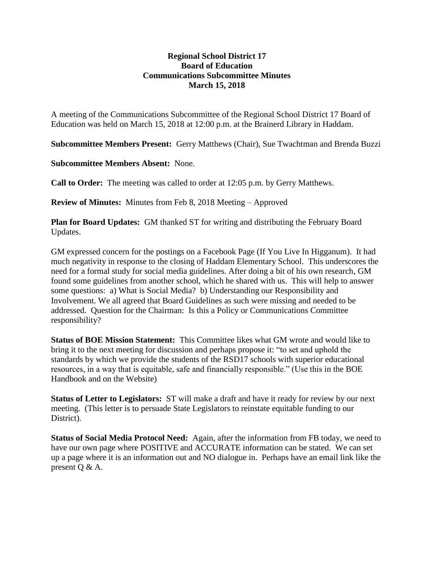## **Regional School District 17 Board of Education Communications Subcommittee Minutes March 15, 2018**

A meeting of the Communications Subcommittee of the Regional School District 17 Board of Education was held on March 15, 2018 at 12:00 p.m. at the Brainerd Library in Haddam.

**Subcommittee Members Present:** Gerry Matthews (Chair), Sue Twachtman and Brenda Buzzi

**Subcommittee Members Absent:** None.

**Call to Order:** The meeting was called to order at 12:05 p.m. by Gerry Matthews.

**Review of Minutes:** Minutes from Feb 8, 2018 Meeting – Approved

**Plan for Board Updates:** GM thanked ST for writing and distributing the February Board Updates.

GM expressed concern for the postings on a Facebook Page (If You Live In Higganum). It had much negativity in response to the closing of Haddam Elementary School. This underscores the need for a formal study for social media guidelines. After doing a bit of his own research, GM found some guidelines from another school, which he shared with us. This will help to answer some questions: a) What is Social Media? b) Understanding our Responsibility and Involvement. We all agreed that Board Guidelines as such were missing and needed to be addressed. Question for the Chairman: Is this a Policy or Communications Committee responsibility?

**Status of BOE Mission Statement:** This Committee likes what GM wrote and would like to bring it to the next meeting for discussion and perhaps propose it: "to set and uphold the standards by which we provide the students of the RSD17 schools with superior educational resources, in a way that is equitable, safe and financially responsible." (Use this in the BOE Handbook and on the Website)

**Status of Letter to Legislators:** ST will make a draft and have it ready for review by our next meeting. (This letter is to persuade State Legislators to reinstate equitable funding to our District).

**Status of Social Media Protocol Need:** Again, after the information from FB today, we need to have our own page where POSITIVE and ACCURATE information can be stated. We can set up a page where it is an information out and NO dialogue in. Perhaps have an email link like the present Q & A.